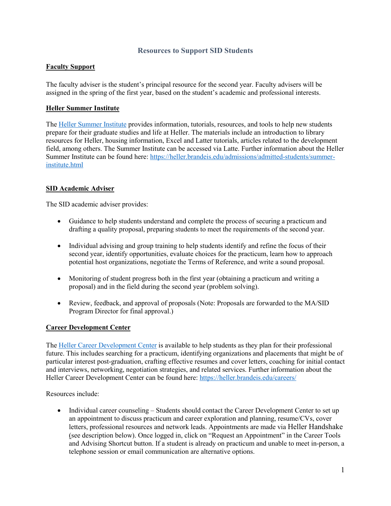# **Resources to Support SID Students**

## **Faculty Support**

The faculty adviser is the student's principal resource for the second year. Faculty advisers will be assigned in the spring of the first year, based on the student's academic and professional interests.

## **Heller Summer Institute**

The [Heller Summer Institute](https://moodle2.brandeis.edu/course/view.php?id=13881) provides information, tutorials, resources, and tools to help new students prepare for their graduate studies and life at Heller. The materials include an introduction to library resources for Heller, housing information, Excel and Latter tutorials, articles related to the development field, among others. The Summer Institute can be accessed via Latte. Further information about the Heller Summer Institute can be found here: [https://heller.brandeis.edu/admissions/admitted-students/summer](https://heller.brandeis.edu/admissions/admitted-students/summer-institute.html)[institute.html](https://heller.brandeis.edu/admissions/admitted-students/summer-institute.html)

## **SID Academic Adviser**

The SID academic adviser provides:

- Guidance to help students understand and complete the process of securing a practicum and drafting a quality proposal, preparing students to meet the requirements of the second year.
- Individual advising and group training to help students identify and refine the focus of their second year, identify opportunities, evaluate choices for the practicum, learn how to approach potential host organizations, negotiate the Terms of Reference, and write a sound proposal.
- Monitoring of student progress both in the first year (obtaining a practicum and writing a proposal) and in the field during the second year (problem solving).
- Review, feedback, and approval of proposals (Note: Proposals are forwarded to the MA/SID Program Director for final approval.)

#### **Career Development Center**

The [Heller Career Development Center](http://heller.brandeis.edu/careers/) is available to help students as they plan for their professional future. This includes searching for a practicum, identifying organizations and placements that might be of particular interest post-graduation, crafting effective resumes and cover letters, coaching for initial contact and interviews, networking, negotiation strategies, and related services. Further information about the Heller Career Development Center can be found here[: https://heller.brandeis.edu/careers/](https://heller.brandeis.edu/careers/)

Resources include:

• Individual career counseling – Students should contact the Career Development Center to set up an appointment to discuss practicum and career exploration and planning, resume/CVs, cover letters, professional resources and network leads. Appointments are made vi[a Heller Handshake](https://heller.brandeis.edu/careers/employers.html) [\(s](https://heller.brandeis.edu/careers/employers.html)ee description below). Once logged in, click on "Request an Appointment" in the Career Tools and Advising Shortcut button. If a student is already on practicum and unable to meet in-person, a telephone session or email communication are alternative options.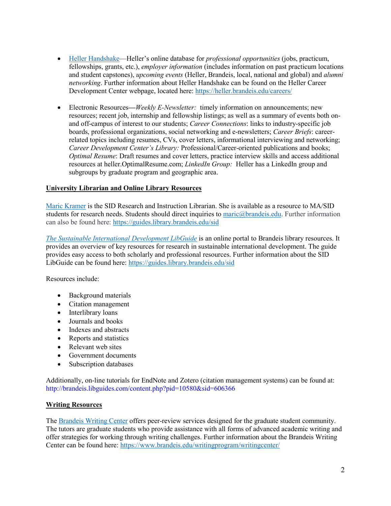- [Heller Handshake—](https://heller.brandeis.edu/careers/employers.html)Heller's online database for *professional opportunities* (jobs, practicum, fellowships, grants, etc.), *employer information* (includes information on past practicum locations and student capstones), *upcoming events* (Heller, Brandeis, local, national and global) and *alumni networking*. Further information about Heller Handshake can be found on the Heller Career Development Center webpage, located here:<https://heller.brandeis.edu/careers/>
- Electronic Resources—*Weekly E-Newsletter:* timely information on announcements; new resources; recent job, internship and fellowship listings; as well as a summary of events both onand off-campus of interest to our students; *Career Connections*: links to industry-specific job boards, professional organizations, social networking and e-newsletters; *Career Briefs*: careerrelated topics including resumes, CVs, cover letters, informational interviewing and networking; *Career Development Center's Library:* Professional/Career-oriented publications and books; *Optimal Resume*: Draft resumes and cover letters, practice interview skills and access additional resources at heller.OptimalResume.com; *LinkedIn Group:* Heller has a LinkedIn group and subgroups by graduate program and geographic area.

## **University Librarian and Online Library Resources**

[Maric Kramer](mailto:https://docs.google.com/document/d/1bq0CzrIyj2xq0FDGepGShquYY5SBCSK5kbvjtneb4NI/edit%23heading=h.fav6scqmwu85) is the SID Research and Instruction Librarian. She is available as a resource to MA/SID students for research needs. Students should direct inquiries to [maric@brandeis.edu.](mailto:maric@brandeis.edu) Further information can also be found here:<https://guides.library.brandeis.edu/sid>

*[The Sustainable International Development LibGuide](mailto:http://guides.library.brandeis.edu/sid)* is an online portal to Brandeis library resources. It provides an overview of key resources for research in sustainable international development. The guide provides easy access to both scholarly and professional resources. Further information about the SID LibGuide can be found here:<https://guides.library.brandeis.edu/sid>

Resources include:

- Background materials
- Citation management
- Interlibrary loans
- Journals and books
- Indexes and abstracts
- Reports and statistics
- Relevant web sites
- Government documents
- Subscription databases

Additionally, on-line tutorials for EndNote and Zotero (citation management systems) can be found at: <http://brandeis.libguides.com/content.php?pid=10580&sid=606366>

#### **Writing Resources**

The [Brandeis Writing Center](http://www.brandeis.edu/writingprogram/writingcenter/) offers peer-review services designed for the graduate student community. The tutors are graduate students who provide assistance with all forms of advanced academic writing and offer strategies for working through writing challenges. Further information about the Brandeis Writing Center can be found here:<https://www.brandeis.edu/writingprogram/writingcenter/>